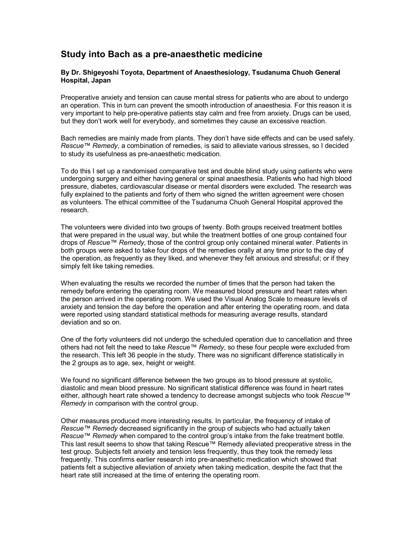## **Study into Bach as a pre-anaesthetic medicine**

## **By Dr. Shigeyoshi Toyota, Department of Anaesthesiology, Tsudanuma Chuoh General Hospital, Japan**

Preoperative anxiety and tension can cause mental stress for patients who are about to undergo an operation. This in turn can prevent the smooth introduction of anaesthesia. For this reason it is very important to help pre-operative patients stay calm and free from anxiety. Drugs can be used, but they don't work well for everybody, and sometimes they cause an excessive reaction.

Bach remedies are mainly made from plants. They don't have side effects and can be used safely. *Rescue™ Remedy*, a combination of remedies, is said to alleviate various stresses, so I decided to study its usefulness as pre-anaesthetic medication.

To do this I set up a randomised comparative test and double blind study using patients who were undergoing surgery and either having general or spinal anaesthesia. Patients who had high blood pressure, diabetes, cardiovascular disease or mental disorders were excluded. The research was fully explained to the patients and forty of them who signed the written agreement were chosen as volunteers. The ethical committee of the Tsudanuma Chuoh General Hospital approved the research.

The volunteers were divided into two groups of twenty. Both groups received treatment bottles that were prepared in the usual way, but while the treatment bottles of one group contained four drops of *Rescue™ Remedy*, those of the control group only contained mineral water. Patients in both groups were asked to take four drops of the remedies orally at any time prior to the day of the operation, as frequently as they liked, and whenever they felt anxious and stressful; or if they simply felt like taking remedies.

When evaluating the results we recorded the number of times that the person had taken the remedy before entering the operating room. We measured blood pressure and heart rates when the person arrived in the operating room. We used the Visual Analog Scale to measure levels of anxiety and tension the day before the operation and after entering the operating room, and data were reported using standard statistical methods for measuring average results, standard deviation and so on.

One of the forty volunteers did not undergo the scheduled operation due to cancellation and three others had not felt the need to take *Rescue™ Remedy*, so these four people were excluded from the research. This left 36 people in the study. There was no significant difference statistically in the 2 groups as to age, sex, height or weight.

We found no significant difference between the two groups as to blood pressure at systolic, diastolic and mean blood pressure. No significant statistical difference was found in heart rates either, although heart rate showed a tendency to decrease amongst subjects who took *Rescue™ Remedy* in comparison with the control group.

Other measures produced more interesting results. In particular, the frequency of intake of *Rescue™ Remedy* decreased significantly in the group of subjects who had actually taken *Rescue™ Remedy* when compared to the control group's intake from the fake treatment bottle. This last result seems to show that taking Rescue™ Remedy alleviated preoperative stress in the test group. Subjects felt anxiety and tension less frequently, thus they took the remedy less frequently. This confirms earlier research into pre-anaesthetic medication which showed that patients felt a subjective alleviation of anxiety when taking medication, despite the fact that the heart rate still increased at the time of entering the operating room.